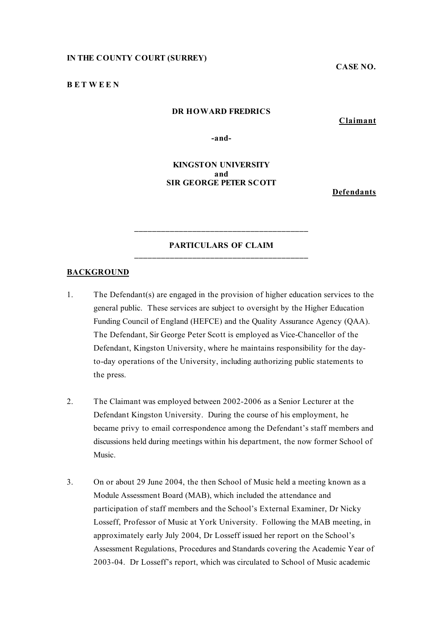### **IN THE COUNTY COURT (SURREY)**

**CASE NO.**

#### **B E T W E E N**

## **DR HOWARD FREDRICS**

**Claimant**

**-and-**

## **KINGSTON UNIVERSITY and SIR GEORGE PETER SCOTT**

**Defendants**

### **PARTICULARS OF CLAIM \_\_\_\_\_\_\_\_\_\_\_\_\_\_\_\_\_\_\_\_\_\_\_\_\_\_\_\_\_\_\_\_\_\_\_\_\_\_\_**

**\_\_\_\_\_\_\_\_\_\_\_\_\_\_\_\_\_\_\_\_\_\_\_\_\_\_\_\_\_\_\_\_\_\_\_\_\_\_\_**

### **BACKGROUND**

- 1. The Defendant(s) are engaged in the provision of higher education services to the general public. These services are subject to oversight by the Higher Education Funding Council of England (HEFCE) and the Quality Assurance Agency (QAA). The Defendant, Sir George Peter Scott is employed as Vice-Chancellor of the Defendant, Kingston University, where he maintains responsibility for the dayto-day operations of the University, including authorizing public statements to the press.
- 2. The Claimant was employed between 2002-2006 as a Senior Lecturer at the Defendant Kingston University. During the course of his employment, he became privy to email correspondence among the Defendant's staff members and discussions held during meetings within his department, the now former School of Music.
- 3. On or about 29 June 2004, the then School of Music held a meeting known as a Module Assessment Board (MAB), which included the attendance and participation of staff members and the School's External Examiner, Dr Nicky Losseff, Professor of Music at York University. Following the MAB meeting, in approximately early July 2004, Dr Losseff issued her report on the School's Assessment Regulations, Procedures and Standards covering the Academic Year of 2003-04. Dr Losseff's report, which was circulated to School of Music academic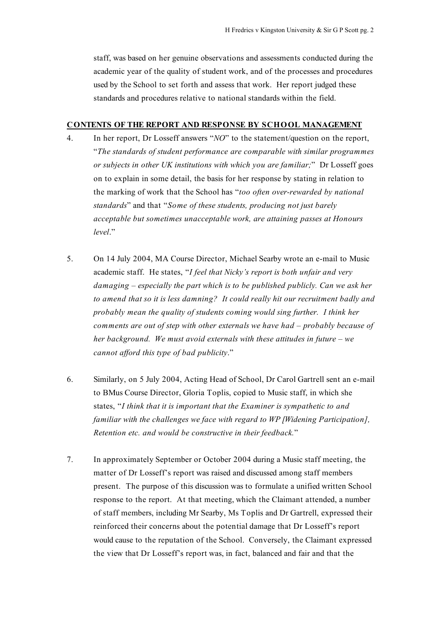staff, was based on her genuine observations and assessments conducted during the academic year of the quality of student work, and of the processes and procedures used by the School to set forth and assess that work. Her report judged these standards and procedures relative to national standards within the field.

#### **CONTENTS OF THE REPORT AND RESPONSE BY SCHOOL MANAGEMENT**

- 4. In her report, Dr Losseff answers "*NO*" to the statement/question on the report, "*The standards of student performance are comparable with similar programmes or subjects in other UK institutions with which you are familiar;*" Dr Losseff goes on to explain in some detail, the basis for her response by stating in relation to the marking of work that the School has "*too often over-rewarded by national standards*" and that "*Some of these students, producing not just barely acceptable but sometimes unacceptable work, are attaining passes at Honours level*."
- 5. On 14 July 2004, MA Course Director, Michael Searby wrote an e-mail to Music academic staff. He states, "*I feel that Nicky's report is both unfair and very damaging – especially the part which is to be published publicly. Can we ask her to amend that so it is less damning? It could really hit our recruitment badly and probably mean the quality of students coming would sing further. I think her comments are out of step with other externals we have had – probably because of her background. We must avoid externals with these attitudes in future – we cannot afford this type of bad publicity*."
- 6. Similarly, on 5 July 2004, Acting Head of School, Dr Carol Gartrell sent an e-mail to BMus Course Director, Gloria Toplis, copied to Music staff, in which she states, "*I think that it is important that the Examiner is sympathetic to and familiar with the challenges we face with regard to WP [Widening Participation], Retention etc. and would be constructive in their feedback.*"
- 7. In approximately September or October 2004 during a Music staff meeting, the matter of Dr Losseff's report was raised and discussed among staff members present. The purpose of this discussion was to formulate a unified written School response to the report. At that meeting, which the Claimant attended, a number of staff members, including Mr Searby, Ms Toplis and Dr Gartrell, expressed their reinforced their concerns about the potential damage that Dr Losseff's report would cause to the reputation of the School. Conversely, the Claimant expressed the view that Dr Losseff's report was, in fact, balanced and fair and that the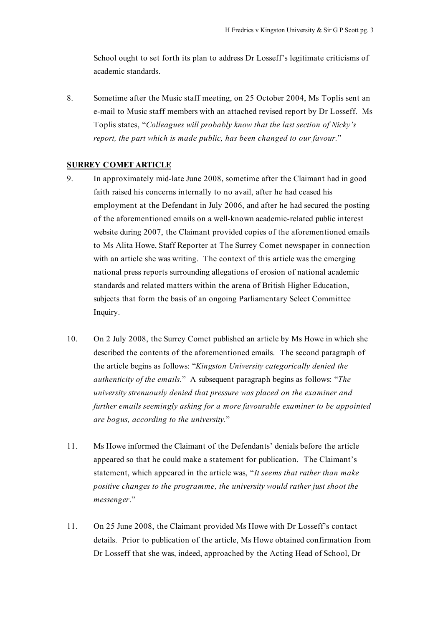School ought to set forth its plan to address Dr Losseff's legitimate criticisms of academic standards.

8. Sometime after the Music staff meeting, on 25 October 2004, Ms Toplis sent an e-mail to Music staff members with an attached revised report by Dr Losseff. Ms Toplis states, "*Colleagues will probably know that the last section of Nicky's report, the part which is made public, has been changed to our favour.*"

## **SURREY COMET ARTICLE**

- 9. In approximately mid-late June 2008, sometime after the Claimant had in good faith raised his concerns internally to no avail, after he had ceased his employment at the Defendant in July 2006, and after he had secured the posting of the aforementioned emails on a well-known academic-related public interest website during 2007, the Claimant provided copies of the aforementioned emails to Ms Alita Howe, Staff Reporter at The Surrey Comet newspaper in connection with an article she was writing. The context of this article was the emerging national press reports surrounding allegations of erosion of national academic standards and related matters within the arena of British Higher Education, subjects that form the basis of an ongoing Parliamentary Select Committee Inquiry.
- 10. On 2 July 2008, the Surrey Comet published an article by Ms Howe in which she described the contents of the aforementioned emails. The second paragraph of the article begins as follows: "*Kingston University categorically denied the authenticity of the emails.*" A subsequent paragraph begins as follows: "*The university strenuously denied that pressure was placed on the examiner and further emails seemingly asking for a more favourable examiner to be appointed are bogus, according to the university.*"
- 11. Ms Howe informed the Claimant of the Defendants' denials before the article appeared so that he could make a statement for publication. The Claimant's statement, which appeared in the article was, "*It seems that rather than make positive changes to the programme, the university would rather just shoot the messenger*."
- 11. On 25 June 2008, the Claimant provided Ms Howe with Dr Losseff's contact details. Prior to publication of the article, Ms Howe obtained confirmation from Dr Losseff that she was, indeed, approached by the Acting Head of School, Dr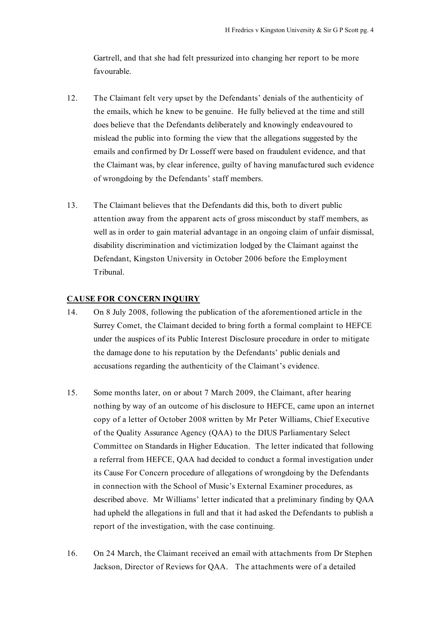Gartrell, and that she had felt pressurized into changing her report to be more favourable.

- 12. The Claimant felt very upset by the Defendants' denials of the authenticity of the emails, which he knew to be genuine. He fully believed at the time and still does believe that the Defendants deliberately and knowingly endeavoured to mislead the public into forming the view that the allegations suggested by the emails and confirmed by Dr Losseff were based on fraudulent evidence, and that the Claimant was, by clear inference, guilty of having manufactured such evidence of wrongdoing by the Defendants' staff members.
- 13. The Claimant believes that the Defendants did this, both to divert public attention away from the apparent acts of gross misconduct by staff members, as well as in order to gain material advantage in an ongoing claim of unfair dismissal, disability discrimination and victimization lodged by the Claimant against the Defendant, Kingston University in October 2006 before the Employment Tribunal.

# **CAUSE FOR CONCERN INQUIRY**

- 14. On 8 July 2008, following the publication of the aforementioned article in the Surrey Comet, the Claimant decided to bring forth a formal complaint to HEFCE under the auspices of its Public Interest Disclosure procedure in order to mitigate the damage done to his reputation by the Defendants' public denials and accusations regarding the authenticity of the Claimant's evidence.
- 15. Some months later, on or about 7 March 2009, the Claimant, after hearing nothing by way of an outcome of his disclosure to HEFCE, came upon an internet copy of a letter of October 2008 written by Mr Peter Williams, Chief Executive of the Quality Assurance Agency (QAA) to the DIUS Parliamentary Select Committee on Standards in Higher Education. The letter indicated that following a referral from HEFCE, QAA had decided to conduct a formal investigation under its Cause For Concern procedure of allegations of wrongdoing by the Defendants in connection with the School of Music's External Examiner procedures, as described above. Mr Williams' letter indicated that a preliminary finding by QAA had upheld the allegations in full and that it had asked the Defendants to publish a report of the investigation, with the case continuing.
- 16. On 24 March, the Claimant received an email with attachments from Dr Stephen Jackson, Director of Reviews for QAA. The attachments were of a detailed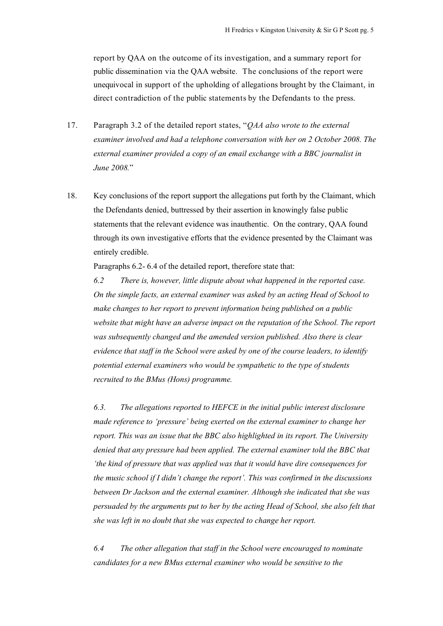report by QAA on the outcome of its investigation, and a summary report for public dissemination via the QAA website. The conclusions of the report were unequivocal in support of the upholding of allegations brought by the Claimant, in direct contradiction of the public statements by the Defendants to the press.

- 17. Paragraph 3.2 of the detailed report states, "*QAA also wrote to the external examiner involved and had a telephone conversation with her on 2 October 2008. The external examiner provided a copy of an email exchange with a BBC journalist in June 2008.*"
- 18. Key conclusions of the report support the allegations put forth by the Claimant, which the Defendants denied, buttressed by their assertion in knowingly false public statements that the relevant evidence was inauthentic. On the contrary, QAA found through its own investigative efforts that the evidence presented by the Claimant was entirely credible.

Paragraphs 6.2- 6.4 of the detailed report, therefore state that:

*6.2 There is, however, little dispute about what happened in the reported case. On the simple facts, an external examiner was asked by an acting Head of School to make changes to her report to prevent information being published on a public website that might have an adverse impact on the reputation of the School. The report was subsequently changed and the amended version published. Also there is clear evidence that staff in the School were asked by one of the course leaders, to identify potential external examiners who would be sympathetic to the type of students recruited to the BMus (Hons) programme.*

*6.3. The allegations reported to HEFCE in the initial public interest disclosure made reference to 'pressure' being exerted on the external examiner to change her report. This was an issue that the BBC also highlighted in its report. The University denied that any pressure had been applied. The external examiner told the BBC that 'the kind of pressure that was applied was that it would have dire consequences for the music school if I didn't change the report'. This was confirmed in the discussions between Dr Jackson and the external examiner. Although she indicated that she was persuaded by the arguments put to her by the acting Head of School, she also felt that she was left in no doubt that she was expected to change her report.*

*6.4 The other allegation that staff in the School were encouraged to nominate candidates for a new BMus external examiner who would be sensitive to the*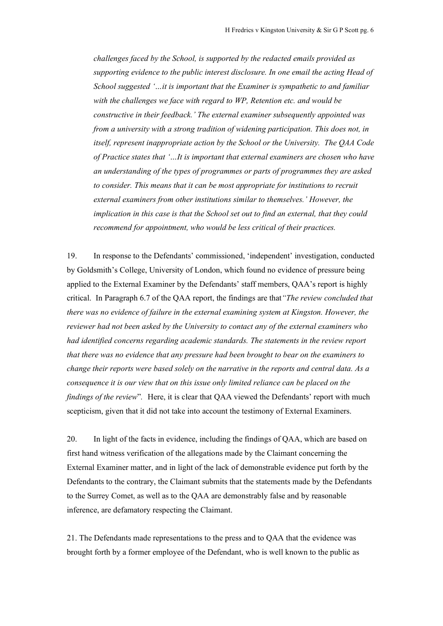*challenges faced by the School, is supported by the redacted emails provided as supporting evidence to the public interest disclosure. In one email the acting Head of School suggested '…it is important that the Examiner is sympathetic to and familiar with the challenges we face with regard to WP, Retention etc. and would be constructive in their feedback.' The external examiner subsequently appointed was from a university with a strong tradition of widening participation. This does not, in itself, represent inappropriate action by the School or the University. The QAA Code of Practice states that '…It is important that external examiners are chosen who have an understanding of the types of programmes or parts of programmes they are asked to consider. This means that it can be most appropriate for institutions to recruit external examiners from other institutions similar to themselves.' However, the implication in this case is that the School set out to find an external, that they could recommend for appointment, who would be less critical of their practices.*

19. In response to the Defendants' commissioned, 'independent' investigation, conducted by Goldsmith's College, University of London, which found no evidence of pressure being applied to the External Examiner by the Defendants' staff members, QAA's report is highly critical. In Paragraph 6.7 of the QAA report, the findings are that*"The review concluded that there was no evidence of failure in the external examining system at Kingston. However, the reviewer had not been asked by the University to contact any of the external examiners who had identified concerns regarding academic standards. The statements in the review report that there was no evidence that any pressure had been brought to bear on the examiners to change their reports were based solely on the narrative in the reports and central data. As a consequence it is our view that on this issue only limited reliance can be placed on the findings of the review*"*.* Here, it is clear that QAA viewed the Defendants' report with much scepticism, given that it did not take into account the testimony of External Examiners.

20. In light of the facts in evidence, including the findings of QAA, which are based on first hand witness verification of the allegations made by the Claimant concerning the External Examiner matter, and in light of the lack of demonstrable evidence put forth by the Defendants to the contrary, the Claimant submits that the statements made by the Defendants to the Surrey Comet, as well as to the QAA are demonstrably false and by reasonable inference, are defamatory respecting the Claimant.

21. The Defendants made representations to the press and to QAA that the evidence was brought forth by a former employee of the Defendant, who is well known to the public as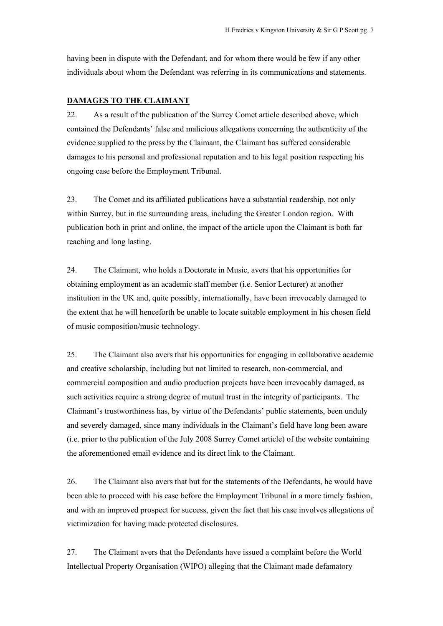having been in dispute with the Defendant, and for whom there would be few if any other individuals about whom the Defendant was referring in its communications and statements.

### **DAMAGES TO THE CLAIMANT**

22. As a result of the publication of the Surrey Comet article described above, which contained the Defendants' false and malicious allegations concerning the authenticity of the evidence supplied to the press by the Claimant, the Claimant has suffered considerable damages to his personal and professional reputation and to his legal position respecting his ongoing case before the Employment Tribunal.

23. The Comet and its affiliated publications have a substantial readership, not only within Surrey, but in the surrounding areas, including the Greater London region. With publication both in print and online, the impact of the article upon the Claimant is both far reaching and long lasting.

24. The Claimant, who holds a Doctorate in Music, avers that his opportunities for obtaining employment as an academic staff member (i.e. Senior Lecturer) at another institution in the UK and, quite possibly, internationally, have been irrevocably damaged to the extent that he will henceforth be unable to locate suitable employment in his chosen field of music composition/music technology.

25. The Claimant also avers that his opportunities for engaging in collaborative academic and creative scholarship, including but not limited to research, non-commercial, and commercial composition and audio production projects have been irrevocably damaged, as such activities require a strong degree of mutual trust in the integrity of participants. The Claimant's trustworthiness has, by virtue of the Defendants' public statements, been unduly and severely damaged, since many individuals in the Claimant's field have long been aware (i.e. prior to the publication of the July 2008 Surrey Comet article) of the website containing the aforementioned email evidence and its direct link to the Claimant.

26. The Claimant also avers that but for the statements of the Defendants, he would have been able to proceed with his case before the Employment Tribunal in a more timely fashion, and with an improved prospect for success, given the fact that his case involves allegations of victimization for having made protected disclosures.

27. The Claimant avers that the Defendants have issued a complaint before the World Intellectual Property Organisation (WIPO) alleging that the Claimant made defamatory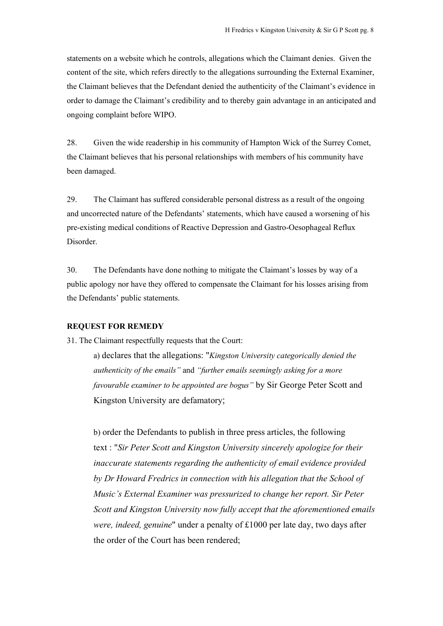statements on a website which he controls, allegations which the Claimant denies. Given the content of the site, which refers directly to the allegations surrounding the External Examiner, the Claimant believes that the Defendant denied the authenticity of the Claimant's evidence in order to damage the Claimant's credibility and to thereby gain advantage in an anticipated and ongoing complaint before WIPO.

28. Given the wide readership in his community of Hampton Wick of the Surrey Comet, the Claimant believes that his personal relationships with members of his community have been damaged.

29. The Claimant has suffered considerable personal distress as a result of the ongoing and uncorrected nature of the Defendants' statements, which have caused a worsening of his pre-existing medical conditions of Reactive Depression and Gastro-Oesophageal Reflux Disorder.

30. The Defendants have done nothing to mitigate the Claimant's losses by way of a public apology nor have they offered to compensate the Claimant for his losses arising from the Defendants' public statements.

## **REQUEST FOR REMEDY**

31. The Claimant respectfully requests that the Court:

a) declares that the allegations: "*Kingston University categorically denied the authenticity of the emails"* and *"further emails seemingly asking for a more favourable examiner to be appointed are bogus"* by Sir George Peter Scott and Kingston University are defamatory;

b) order the Defendants to publish in three press articles, the following text : "*Sir Peter Scott and Kingston University sincerely apologize for their inaccurate statements regarding the authenticity of email evidence provided by Dr Howard Fredrics in connection with his allegation that the School of Music's External Examiner was pressurized to change her report. Sir Peter Scott and Kingston University now fully accept that the aforementioned emails were, indeed, genuine*" under a penalty of £1000 per late day, two days after the order of the Court has been rendered;